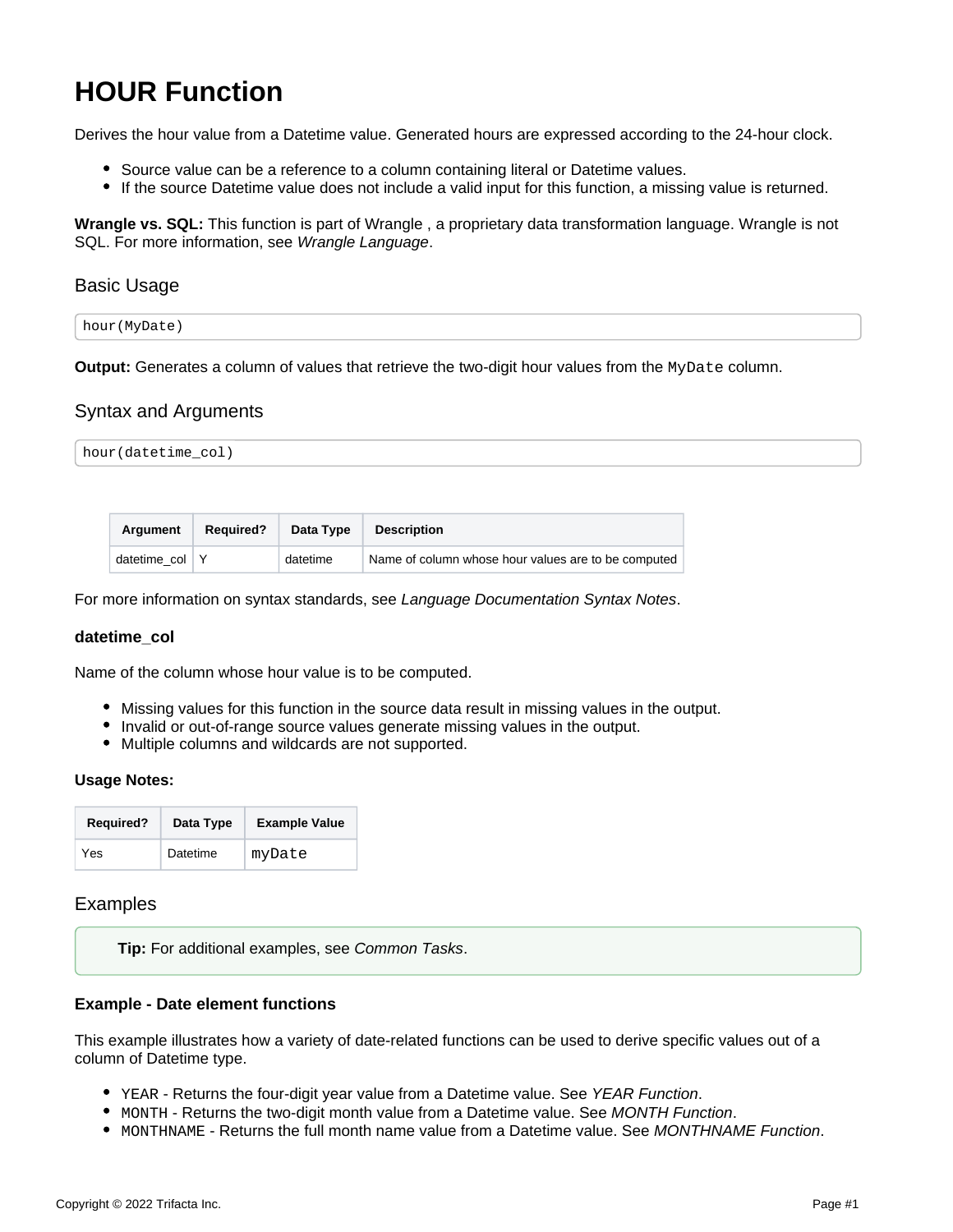# <span id="page-0-0"></span>**HOUR Function**

Derives the hour value from a Datetime value. Generated hours are expressed according to the 24-hour clock.

- Source value can be a reference to a column containing literal or Datetime values.
- If the source Datetime value does not include a valid input for this function, a missing value is returned.

**Wrangle vs. SQL:** This function is part of Wrangle , a proprietary data transformation language. Wrangle is not SQL. For more information, see [Wrangle Language](https://docs.trifacta.com/display/r087/Wrangle+Language).

# Basic Usage

| hour(MyDate) |  |  |
|--------------|--|--|
|              |  |  |

**Output:** Generates a column of values that retrieve the two-digit hour values from the MyDate column.

## Syntax and Arguments

| hour(datetime_col) |  |
|--------------------|--|
|                    |  |

| Argument           | <b>Required?</b> | Data Type | <b>Description</b>                                  |
|--------------------|------------------|-----------|-----------------------------------------------------|
| datetime $col$ $Y$ |                  | datetime  | Name of column whose hour values are to be computed |

For more information on syntax standards, see [Language Documentation Syntax Notes](https://docs.trifacta.com/display/r087/Language+Documentation+Syntax+Notes).

### **datetime\_col**

Name of the column whose hour value is to be computed.

- Missing values for this function in the source data result in missing values in the output.
- Invalid or out-of-range source values generate missing values in the output.
- Multiple columns and wildcards are not supported.

### **Usage Notes:**

| <b>Required?</b> | Data Type | <b>Example Value</b> |  |  |
|------------------|-----------|----------------------|--|--|
| Yes              | Datetime  | myDate               |  |  |

## Examples

**Tip:** For additional examples, see [Common Tasks](https://docs.trifacta.com/display/r087/Common+Tasks).

### **Example - Date element functions**

This example illustrates how a variety of date-related functions can be used to derive specific values out of a column of Datetime type.

- \* YEAR Returns the four-digit year value from a Datetime value. See [YEAR Function](https://docs.trifacta.com/display/r087/YEAR+Function).
- $\bullet$  MONTH Returns the two-digit month value from a Datetime value. See [MONTH Function](https://docs.trifacta.com/display/r087/MONTH+Function).
- MONTHNAME Returns the full month name value from a Datetime value. See [MONTHNAME Function](https://docs.trifacta.com/display/r087/MONTHNAME+Function).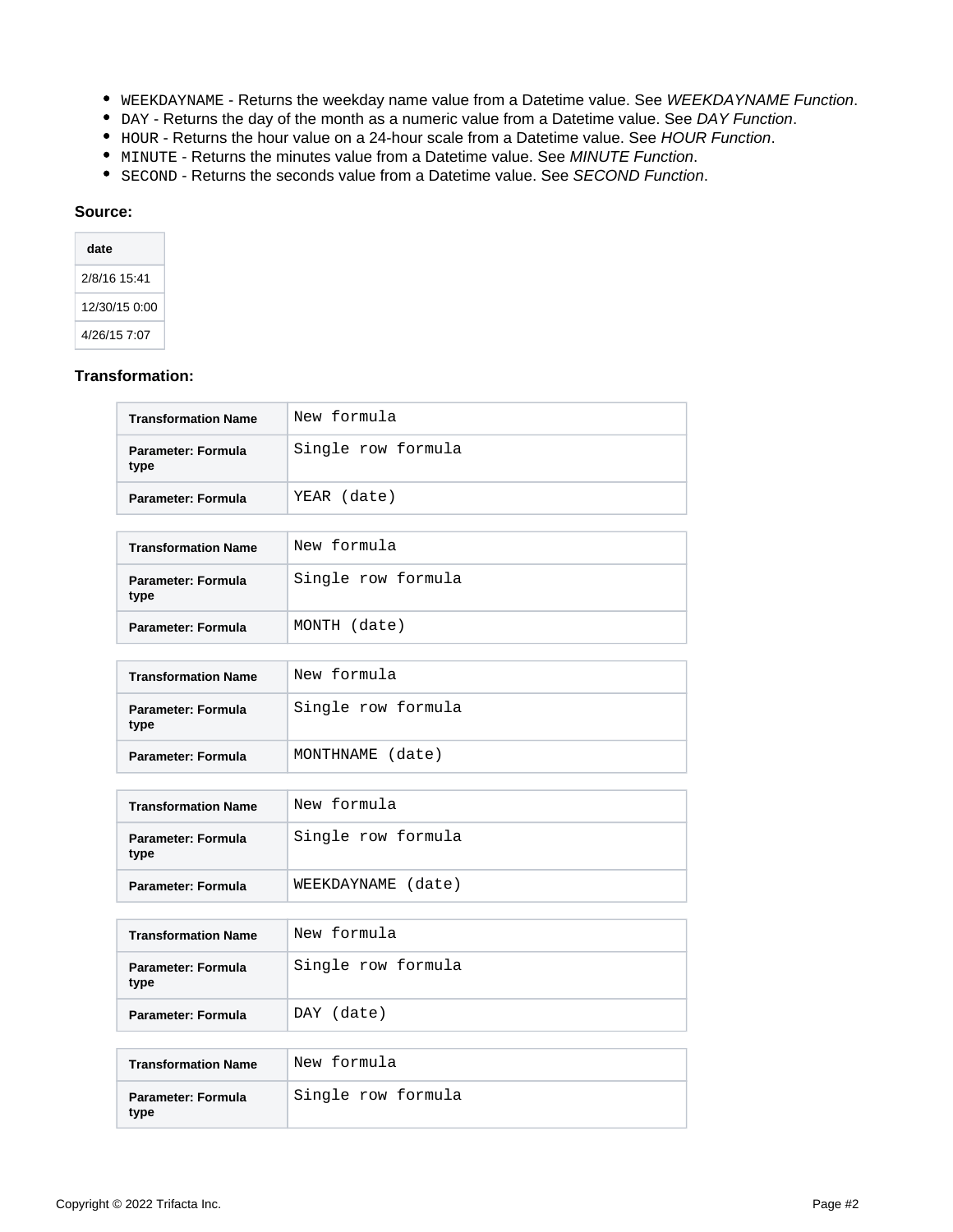- WEEKDAYNAME Returns the weekday name value from a Datetime value. See [WEEKDAYNAME Function](https://docs.trifacta.com/display/r087/WEEKDAYNAME+Function).
- DAY Returns the day of the month as a numeric value from a Datetime value. See [DAY Function](https://docs.trifacta.com/display/r087/DAY+Function).
- HOUR Returns the hour value on a 24-hour scale from a Datetime value. See [HOUR Function](#page-0-0).
- $\bullet$  MINUTE Returns the minutes value from a Datetime value. See [MINUTE Function](https://docs.trifacta.com/display/r087/MINUTE+Function).
- **SECOND Returns the seconds value from a Datetime value. See [SECOND Function](https://docs.trifacta.com/display/r087/SECOND+Function).**

#### **Source:**

| date          |
|---------------|
| 2/8/16 15:41  |
| 12/30/15 0:00 |
| 4/26/15 7:07  |

## **Transformation:**

| <b>Transformation Name</b>        | New formula        |
|-----------------------------------|--------------------|
| <b>Parameter: Formula</b><br>type | Single row formula |
| Parameter: Formula                | YEAR (date)        |
|                                   |                    |
| <b>Transformation Name</b>        | New formula        |
| Parameter: Formula<br>type        | Single row formula |
| Parameter: Formula                | MONTH (date)       |
|                                   |                    |
| <b>Transformation Name</b>        | New formula        |
| <b>Parameter: Formula</b><br>type | Single row formula |
| <b>Parameter: Formula</b>         | MONTHNAME (date)   |
|                                   |                    |
| <b>Transformation Name</b>        | New formula        |
| Parameter: Formula<br>type        | Single row formula |
| <b>Parameter: Formula</b>         | WEEKDAYNAME (date) |
|                                   |                    |
| <b>Transformation Name</b>        | New formula        |
| <b>Parameter: Formula</b><br>type | Single row formula |
| <b>Parameter: Formula</b>         | DAY (date)         |
|                                   |                    |
| <b>Transformation Name</b>        | New formula        |
| Parameter: Formula<br>type        | Single row formula |